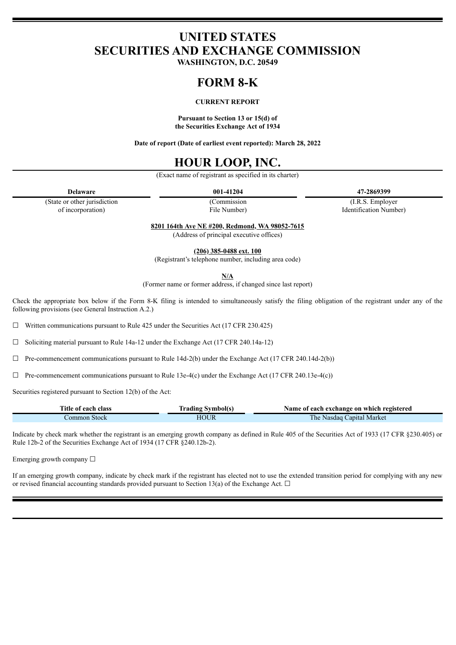# **UNITED STATES SECURITIES AND EXCHANGE COMMISSION**

**WASHINGTON, D.C. 20549**

## **FORM 8-K**

### **CURRENT REPORT**

**Pursuant to Section 13 or 15(d) of the Securities Exchange Act of 1934**

**Date of report (Date of earliest event reported): March 28, 2022**

## **HOUR LOOP, INC.**

(Exact name of registrant as specified in its charter)

(Commission File Number)

**Delaware 001-41204 47-2869399**

(I.R.S. Employer Identification Number)

(State or other jurisdiction of incorporation)

**8201 164th Ave NE #200, Redmond, WA 98052-7615**

(Address of principal executive offices)

**(206) 385-0488 ext. 100**

(Registrant's telephone number, including area code)

**N/A**

(Former name or former address, if changed since last report)

Check the appropriate box below if the Form 8-K filing is intended to simultaneously satisfy the filing obligation of the registrant under any of the following provisions (see General Instruction A.2.)

 $\Box$  Written communications pursuant to Rule 425 under the Securities Act (17 CFR 230.425)

☐ Soliciting material pursuant to Rule 14a-12 under the Exchange Act (17 CFR 240.14a-12)

 $\Box$  Pre-commencement communications pursuant to Rule 14d-2(b) under the Exchange Act (17 CFR 240.14d-2(b))

 $\Box$  Pre-commencement communications pursuant to Rule 13e-4(c) under the Exchange Act (17 CFR 240.13e-4(c))

Securities registered pursuant to Section 12(b) of the Act:

| Title of each class | Trading Svmbol(s) | Name of each exchange on which registered |
|---------------------|-------------------|-------------------------------------------|
| ∟ommon Stock        | HOUR              | The Nasdag Capital Market                 |

Indicate by check mark whether the registrant is an emerging growth company as defined in Rule 405 of the Securities Act of 1933 (17 CFR §230.405) or Rule 12b-2 of the Securities Exchange Act of 1934 (17 CFR §240.12b-2).

Emerging growth company □

If an emerging growth company, indicate by check mark if the registrant has elected not to use the extended transition period for complying with any new or revised financial accounting standards provided pursuant to Section 13(a) of the Exchange Act.  $\Box$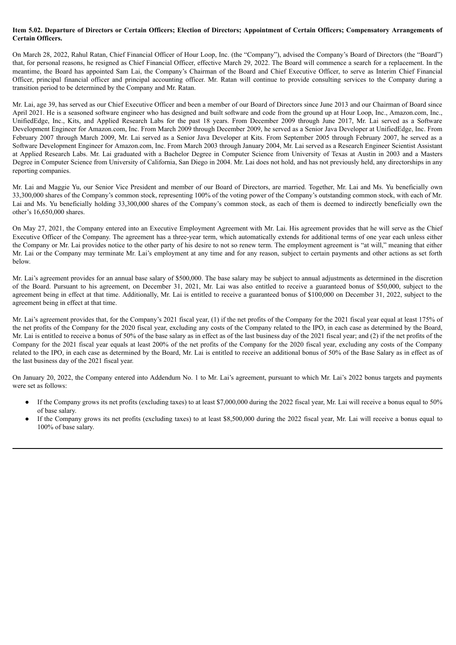#### Item 5.02. Departure of Directors or Certain Officers; Election of Directors; Appointment of Certain Officers; Compensatory Arrangements of **Certain Officers.**

On March 28, 2022, Rahul Ratan, Chief Financial Officer of Hour Loop, Inc. (the "Company"), advised the Company's Board of Directors (the "Board") that, for personal reasons, he resigned as Chief Financial Officer, effective March 29, 2022. The Board will commence a search for a replacement. In the meantime, the Board has appointed Sam Lai, the Company's Chairman of the Board and Chief Executive Officer, to serve as Interim Chief Financial Officer, principal financial officer and principal accounting officer. Mr. Ratan will continue to provide consulting services to the Company during a transition period to be determined by the Company and Mr. Ratan.

Mr. Lai, age 39, has served as our Chief Executive Officer and been a member of our Board of Directors since June 2013 and our Chairman of Board since April 2021. He is a seasoned software engineer who has designed and built software and code from the ground up at Hour Loop, Inc., Amazon.com, Inc., UnifiedEdge, Inc., Kits, and Applied Research Labs for the past 18 years. From December 2009 through June 2017, Mr. Lai served as a Software Development Engineer for Amazon.com, Inc. From March 2009 through December 2009, he served as a Senior Java Developer at UnifiedEdge, Inc. From February 2007 through March 2009, Mr. Lai served as a Senior Java Developer at Kits. From September 2005 through February 2007, he served as a Software Development Engineer for Amazon.com, Inc. From March 2003 through January 2004, Mr. Lai served as a Research Engineer Scientist Assistant at Applied Research Labs. Mr. Lai graduated with a Bachelor Degree in Computer Science from University of Texas at Austin in 2003 and a Masters Degree in Computer Science from University of California, San Diego in 2004. Mr. Lai does not hold, and has not previously held, any directorships in any reporting companies.

Mr. Lai and Maggie Yu, our Senior Vice President and member of our Board of Directors, are married. Together, Mr. Lai and Ms. Yu beneficially own 33,300,000 shares of the Company's common stock, representing 100% of the voting power of the Company's outstanding common stock, with each of Mr. Lai and Ms. Yu beneficially holding 33,300,000 shares of the Company's common stock, as each of them is deemed to indirectly beneficially own the other's 16,650,000 shares.

On May 27, 2021, the Company entered into an Executive Employment Agreement with Mr. Lai. His agreement provides that he will serve as the Chief Executive Officer of the Company. The agreement has a three-year term, which automatically extends for additional terms of one year each unless either the Company or Mr. Lai provides notice to the other party of his desire to not so renew term. The employment agreement is "at will," meaning that either Mr. Lai or the Company may terminate Mr. Lai's employment at any time and for any reason, subject to certain payments and other actions as set forth below.

Mr. Lai's agreement provides for an annual base salary of \$500,000. The base salary may be subject to annual adjustments as determined in the discretion of the Board. Pursuant to his agreement, on December 31, 2021, Mr. Lai was also entitled to receive a guaranteed bonus of \$50,000, subject to the agreement being in effect at that time. Additionally, Mr. Lai is entitled to receive a guaranteed bonus of \$100,000 on December 31, 2022, subject to the agreement being in effect at that time.

Mr. Lai's agreement provides that, for the Company's 2021 fiscal year, (1) if the net profits of the Company for the 2021 fiscal year equal at least 175% of the net profits of the Company for the 2020 fiscal year, excluding any costs of the Company related to the IPO, in each case as determined by the Board, Mr. Lai is entitled to receive a bonus of 50% of the base salary as in effect as of the last business day of the 2021 fiscal year; and (2) if the net profits of the Company for the 2021 fiscal year equals at least 200% of the net profits of the Company for the 2020 fiscal year, excluding any costs of the Company related to the IPO, in each case as determined by the Board, Mr. Lai is entitled to receive an additional bonus of 50% of the Base Salary as in effect as of the last business day of the 2021 fiscal year.

On January 20, 2022, the Company entered into Addendum No. 1 to Mr. Lai's agreement, pursuant to which Mr. Lai's 2022 bonus targets and payments were set as follows:

- If the Company grows its net profits (excluding taxes) to at least \$7,000,000 during the 2022 fiscal year, Mr. Lai will receive a bonus equal to 50% of base salary.
- If the Company grows its net profits (excluding taxes) to at least \$8,500,000 during the 2022 fiscal year, Mr. Lai will receive a bonus equal to 100% of base salary.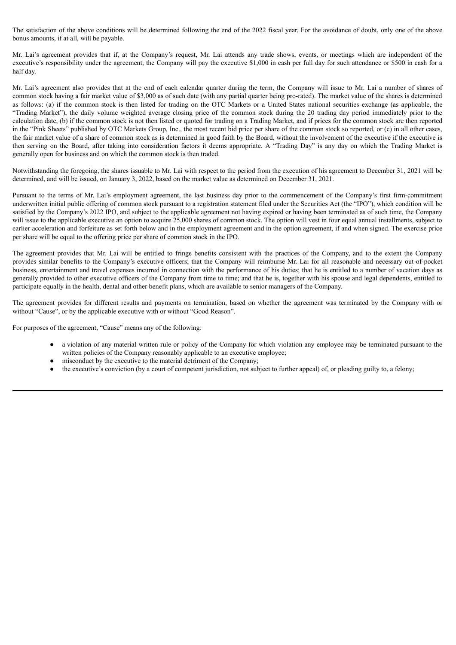The satisfaction of the above conditions will be determined following the end of the 2022 fiscal year. For the avoidance of doubt, only one of the above bonus amounts, if at all, will be payable.

Mr. Lai's agreement provides that if, at the Company's request, Mr. Lai attends any trade shows, events, or meetings which are independent of the executive's responsibility under the agreement, the Company will pay the executive \$1,000 in cash per full day for such attendance or \$500 in cash for a half day.

Mr. Lai's agreement also provides that at the end of each calendar quarter during the term, the Company will issue to Mr. Lai a number of shares of common stock having a fair market value of \$3,000 as of such date (with any partial quarter being pro-rated). The market value of the shares is determined as follows: (a) if the common stock is then listed for trading on the OTC Markets or a United States national securities exchange (as applicable, the "Trading Market"), the daily volume weighted average closing price of the common stock during the 20 trading day period immediately prior to the calculation date, (b) if the common stock is not then listed or quoted for trading on a Trading Market, and if prices for the common stock are then reported in the "Pink Sheets" published by OTC Markets Group, Inc., the most recent bid price per share of the common stock so reported, or (c) in all other cases, the fair market value of a share of common stock as is determined in good faith by the Board, without the involvement of the executive if the executive is then serving on the Board, after taking into consideration factors it deems appropriate. A "Trading Day" is any day on which the Trading Market is generally open for business and on which the common stock is then traded.

Notwithstanding the foregoing, the shares issuable to Mr. Lai with respect to the period from the execution of his agreement to December 31, 2021 will be determined, and will be issued, on January 3, 2022, based on the market value as determined on December 31, 2021.

Pursuant to the terms of Mr. Lai's employment agreement, the last business day prior to the commencement of the Company's first firm-commitment underwritten initial public offering of common stock pursuant to a registration statement filed under the Securities Act (the "IPO"), which condition will be satisfied by the Company's 2022 IPO, and subject to the applicable agreement not having expired or having been terminated as of such time, the Company will issue to the applicable executive an option to acquire 25,000 shares of common stock. The option will vest in four equal annual installments, subject to earlier acceleration and forfeiture as set forth below and in the employment agreement and in the option agreement, if and when signed. The exercise price per share will be equal to the offering price per share of common stock in the IPO.

The agreement provides that Mr. Lai will be entitled to fringe benefits consistent with the practices of the Company, and to the extent the Company provides similar benefits to the Company's executive officers; that the Company will reimburse Mr. Lai for all reasonable and necessary out-of-pocket business, entertainment and travel expenses incurred in connection with the performance of his duties; that he is entitled to a number of vacation days as generally provided to other executive officers of the Company from time to time; and that he is, together with his spouse and legal dependents, entitled to participate equally in the health, dental and other benefit plans, which are available to senior managers of the Company.

The agreement provides for different results and payments on termination, based on whether the agreement was terminated by the Company with or without "Cause", or by the applicable executive with or without "Good Reason".

For purposes of the agreement, "Cause" means any of the following:

- a violation of any material written rule or policy of the Company for which violation any employee may be terminated pursuant to the written policies of the Company reasonably applicable to an executive employee;
- misconduct by the executive to the material detriment of the Company;
- the executive's conviction (by a court of competent jurisdiction, not subject to further appeal) of, or pleading guilty to, a felony;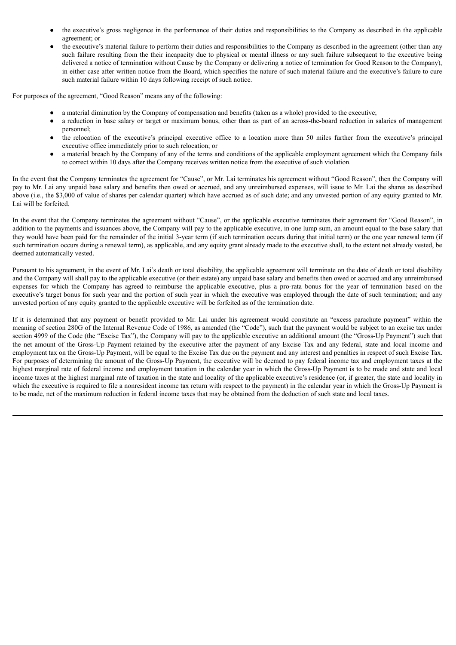- the executive's gross negligence in the performance of their duties and responsibilities to the Company as described in the applicable agreement; or
- the executive's material failure to perform their duties and responsibilities to the Company as described in the agreement (other than any such failure resulting from the their incapacity due to physical or mental illness or any such failure subsequent to the executive being delivered a notice of termination without Cause by the Company or delivering a notice of termination for Good Reason to the Company), in either case after written notice from the Board, which specifies the nature of such material failure and the executive's failure to cure such material failure within 10 days following receipt of such notice.

For purposes of the agreement, "Good Reason" means any of the following:

- a material diminution by the Company of compensation and benefits (taken as a whole) provided to the executive;
- a reduction in base salary or target or maximum bonus, other than as part of an across-the-board reduction in salaries of management personnel;
- the relocation of the executive's principal executive office to a location more than 50 miles further from the executive's principal executive office immediately prior to such relocation; or
- a material breach by the Company of any of the terms and conditions of the applicable employment agreement which the Company fails to correct within 10 days after the Company receives written notice from the executive of such violation.

In the event that the Company terminates the agreement for "Cause", or Mr. Lai terminates his agreement without "Good Reason", then the Company will pay to Mr. Lai any unpaid base salary and benefits then owed or accrued, and any unreimbursed expenses, will issue to Mr. Lai the shares as described above (i.e., the \$3,000 of value of shares per calendar quarter) which have accrued as of such date; and any unvested portion of any equity granted to Mr. Lai will be forfeited.

In the event that the Company terminates the agreement without "Cause", or the applicable executive terminates their agreement for "Good Reason", in addition to the payments and issuances above, the Company will pay to the applicable executive, in one lump sum, an amount equal to the base salary that they would have been paid for the remainder of the initial 3-year term (if such termination occurs during that initial term) or the one year renewal term (if such termination occurs during a renewal term), as applicable, and any equity grant already made to the executive shall, to the extent not already vested, be deemed automatically vested.

Pursuant to his agreement, in the event of Mr. Lai's death or total disability, the applicable agreement will terminate on the date of death or total disability and the Company will shall pay to the applicable executive (or their estate) any unpaid base salary and benefits then owed or accrued and any unreimbursed expenses for which the Company has agreed to reimburse the applicable executive, plus a pro-rata bonus for the year of termination based on the executive's target bonus for such year and the portion of such year in which the executive was employed through the date of such termination; and any unvested portion of any equity granted to the applicable executive will be forfeited as of the termination date.

If it is determined that any payment or benefit provided to Mr. Lai under his agreement would constitute an "excess parachute payment" within the meaning of section 280G of the Internal Revenue Code of 1986, as amended (the "Code"), such that the payment would be subject to an excise tax under section 4999 of the Code (the "Excise Tax"), the Company will pay to the applicable executive an additional amount (the "Gross-Up Payment") such that the net amount of the Gross-Up Payment retained by the executive after the payment of any Excise Tax and any federal, state and local income and employment tax on the Gross-Up Payment, will be equal to the Excise Tax due on the payment and any interest and penalties in respect of such Excise Tax. For purposes of determining the amount of the Gross-Up Payment, the executive will be deemed to pay federal income tax and employment taxes at the highest marginal rate of federal income and employment taxation in the calendar year in which the Gross-Up Payment is to be made and state and local income taxes at the highest marginal rate of taxation in the state and locality of the applicable executive's residence (or, if greater, the state and locality in which the executive is required to file a nonresident income tax return with respect to the payment) in the calendar year in which the Gross-Up Payment is to be made, net of the maximum reduction in federal income taxes that may be obtained from the deduction of such state and local taxes.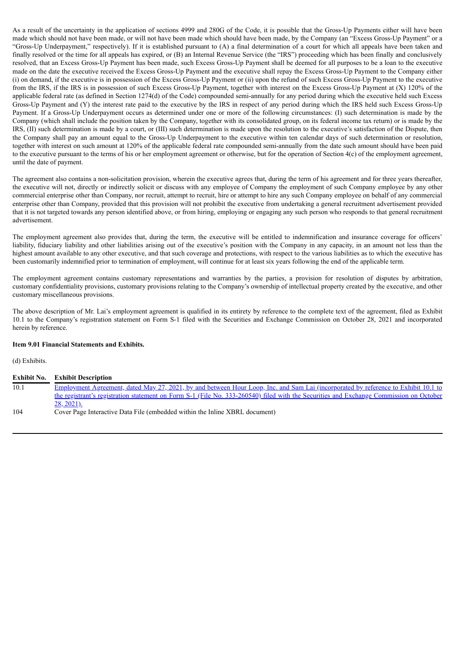As a result of the uncertainty in the application of sections 4999 and 280G of the Code, it is possible that the Gross-Up Payments either will have been made which should not have been made, or will not have been made which should have been made, by the Company (an "Excess Gross-Up Payment" or a "Gross-Up Underpayment," respectively). If it is established pursuant to (A) a final determination of a court for which all appeals have been taken and finally resolved or the time for all appeals has expired, or (B) an Internal Revenue Service (the "IRS") proceeding which has been finally and conclusively resolved, that an Excess Gross-Up Payment has been made, such Excess Gross-Up Payment shall be deemed for all purposes to be a loan to the executive made on the date the executive received the Excess Gross-Up Payment and the executive shall repay the Excess Gross-Up Payment to the Company either (i) on demand, if the executive is in possession of the Excess Gross-Up Payment or (ii) upon the refund of such Excess Gross-Up Payment to the executive from the IRS, if the IRS is in possession of such Excess Gross-Up Payment, together with interest on the Excess Gross-Up Payment at (X) 120% of the applicable federal rate (as defined in Section 1274(d) of the Code) compounded semi-annually for any period during which the executive held such Excess Gross-Up Payment and (Y) the interest rate paid to the executive by the IRS in respect of any period during which the IRS held such Excess Gross-Up Payment. If a Gross-Up Underpayment occurs as determined under one or more of the following circumstances: (I) such determination is made by the Company (which shall include the position taken by the Company, together with its consolidated group, on its federal income tax return) or is made by the IRS, (II) such determination is made by a court, or (III) such determination is made upon the resolution to the executive's satisfaction of the Dispute, then the Company shall pay an amount equal to the Gross-Up Underpayment to the executive within ten calendar days of such determination or resolution, together with interest on such amount at 120% of the applicable federal rate compounded semi-annually from the date such amount should have been paid to the executive pursuant to the terms of his or her employment agreement or otherwise, but for the operation of Section 4(c) of the employment agreement, until the date of payment.

The agreement also contains a non-solicitation provision, wherein the executive agrees that, during the term of his agreement and for three years thereafter, the executive will not, directly or indirectly solicit or discuss with any employee of Company the employment of such Company employee by any other commercial enterprise other than Company, nor recruit, attempt to recruit, hire or attempt to hire any such Company employee on behalf of any commercial enterprise other than Company, provided that this provision will not prohibit the executive from undertaking a general recruitment advertisement provided that it is not targeted towards any person identified above, or from hiring, employing or engaging any such person who responds to that general recruitment advertisement.

The employment agreement also provides that, during the term, the executive will be entitled to indemnification and insurance coverage for officers' liability, fiduciary liability and other liabilities arising out of the executive's position with the Company in any capacity, in an amount not less than the highest amount available to any other executive, and that such coverage and protections, with respect to the various liabilities as to which the executive has been customarily indemnified prior to termination of employment, will continue for at least six years following the end of the applicable term.

The employment agreement contains customary representations and warranties by the parties, a provision for resolution of disputes by arbitration, customary confidentiality provisions, customary provisions relating to the Company's ownership of intellectual property created by the executive, and other customary miscellaneous provisions.

The above description of Mr. Lai's employment agreement is qualified in its entirety by reference to the complete text of the agreement, filed as Exhibit 10.1 to the Company's registration statement on Form S-1 filed with the Securities and Exchange Commission on October 28, 2021 and incorporated herein by reference.

### **Item 9.01 Financial Statements and Exhibits.**

(d) Exhibits.

| Exhibit No. | <b>Exhibit Description</b>                                                                                                                |
|-------------|-------------------------------------------------------------------------------------------------------------------------------------------|
| 10.1        | <u>Employment Agreement, dated May 27, 2021, by and between Hour Loop, Inc. and Sam Lai (incorporated by reference to Exhibit 10.1 to</u> |
|             | the registrant's registration statement on Form S-1 (File No. 333-260540) filed with the Securities and Exchange Commission on October    |
|             | $28, 2021$ ).                                                                                                                             |
| 104         | Cover Page Interactive Data File (embedded within the Inline XBRL document)                                                               |